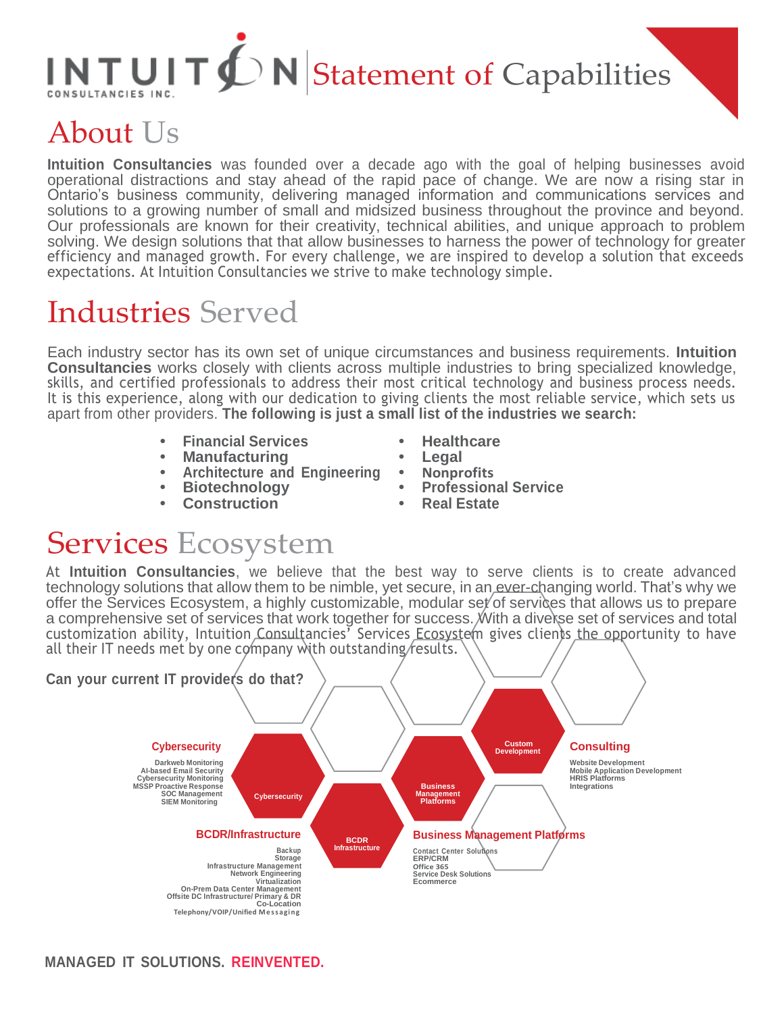# $INTUIT \n\bigoplus N$  Statement of Capabilities

## About Us

**Intuition Consultancies** was founded over a decade ago with the goal of helping businesses avoid operational distractions and stay ahead of the rapid pace of change. We are now a rising star in Ontario's business community, delivering managed information and communications services and solutions to a growing number of small and midsized business throughout the province and beyond. Our professionals are known for their creativity, technical abilities, and unique approach to problem solving. We design solutions that that allow businesses to harness the power of technology for greater efficiency and managed growth. For every challenge, we are inspired to develop a solution that exceeds expectations. At Intuition Consultancies we strive to make technology simple.

#### Industries Served

Each industry sector has its own set of unique circumstances and business requirements. **Intuition Consultancies** works closely with clients across multiple industries to bring specialized knowledge, skills, and certified professionals to address their most critical technology and business process needs. It is this experience, along with our dedication to giving clients the most reliable service, which sets us apart from other providers. **The following is just a small list of the industries we search:**

- **• Financial Services**
- **• Manufacturing**
- **• Architecture and Engineering**
- **• Biotechnology**
- **• Construction**
- **• Healthcare**
- **• Legal**
- **• Nonprofits**
- **• Professional Service**
- **• Real Estate**

#### Services Ecosystem

At **Intuition Consultancies**, we believe that the best way to serve clients is to create advanced technology solutions that allow them to be nimble, yet secure, in an ever-changing world. That's why we offer the Services Ecosystem, a highly customizable, modular set of services that allows us to prepare a comprehensive set of services that work together for success. With a diverse set of services and total customization ability, Intuition Consultancies<sup>7</sup> Services Ecosystem gives clients the opportunity to have all their IT needs met by one company with outstanding/results.